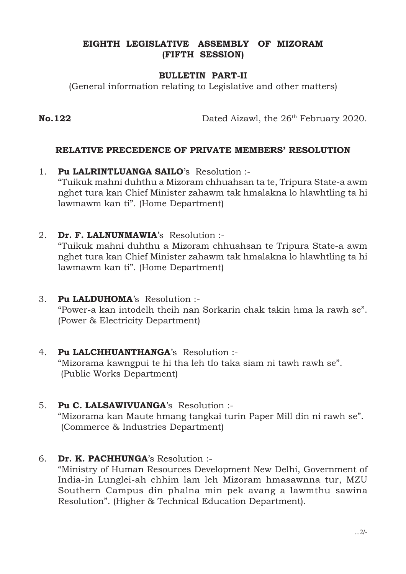## EIGHTH LEGISLATIVE ASSEMBLY OF MIZORAM (FIFTH SESSION)

## BULLETIN PART-II

(General information relating to Legislative and other matters)

No.122 Dated Aizawl, the 26<sup>th</sup> February 2020.

## RELATIVE PRECEDENCE OF PRIVATE MEMBERS' RESOLUTION

- 1. Pu LALRINTLUANGA SAILO's Resolution :- "Tuikuk mahni duhthu a Mizoram chhuahsan ta te, Tripura State-a awm nghet tura kan Chief Minister zahawm tak hmalakna lo hlawhtling ta hi lawmawm kan ti". (Home Department)
- 2. Dr. F. LALNUNMAWIA's Resolution :-

"Tuikuk mahni duhthu a Mizoram chhuahsan te Tripura State-a awm nghet tura kan Chief Minister zahawm tak hmalakna lo hlawhtling ta hi lawmawm kan ti". (Home Department)

- 3. Pu LALDUHOMA's Resolution :- "Power-a kan intodelh theih nan Sorkarin chak takin hma la rawh se". (Power & Electricity Department)
- 4. Pu LALCHHUANTHANGA's Resolution :-"Mizorama kawngpui te hi tha leh tlo taka siam ni tawh rawh se". (Public Works Department)
- 5. Pu C. LALSAWIVUANGA's Resolution :- "Mizorama kan Maute hmang tangkai turin Paper Mill din ni rawh se". (Commerce & Industries Department)
- 6. Dr. K. PACHHUNGA's Resolution :-

"Ministry of Human Resources Development New Delhi, Government of India-in Lunglei-ah chhim lam leh Mizoram hmasawnna tur, MZU Southern Campus din phalna min pek avang a lawmthu sawina Resolution". (Higher & Technical Education Department).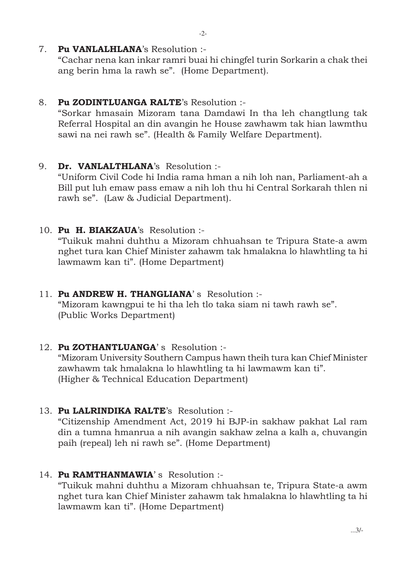"Cachar nena kan inkar ramri buai hi chingfel turin Sorkarin a chak thei ang berin hma la rawh se". (Home Department).

# 8. Pu ZODINTLUANGA RALTE's Resolution :-

"Sorkar hmasain Mizoram tana Damdawi In tha leh changtlung tak Referral Hospital an din avangin he House zawhawm tak hian lawmthu sawi na nei rawh se". (Health & Family Welfare Department).

# 9. Dr. VANLALTHLANA's Resolution :-

"Uniform Civil Code hi India rama hman a nih loh nan, Parliament-ah a Bill put luh emaw pass emaw a nih loh thu hi Central Sorkarah thlen ni rawh se". (Law & Judicial Department).

10. Pu H. BIAKZAUA's Resolution :-

"Tuikuk mahni duhthu a Mizoram chhuahsan te Tripura State-a awm nghet tura kan Chief Minister zahawm tak hmalakna lo hlawhtling ta hi lawmawm kan ti". (Home Department)

- 11. Pu ANDREW H. THANGLIANA's Resolution :-"Mizoram kawngpui te hi tha leh tlo taka siam ni tawh rawh se". (Public Works Department)
- 12. Pu ZOTHANTLUANGA's Resolution :-

"Mizoram University Southern Campus hawn theih tura kan Chief Minister zawhawm tak hmalakna lo hlawhtling ta hi lawmawm kan ti". (Higher & Technical Education Department)

13. Pu LALRINDIKA RALTE's Resolution :-

"Citizenship Amendment Act, 2019 hi BJP-in sakhaw pakhat Lal ram din a tumna hmanrua a nih avangin sakhaw zelna a kalh a, chuvangin paih (repeal) leh ni rawh se". (Home Department)

14. Pu RAMTHANMAWIA's Resolution :-

"Tuikuk mahni duhthu a Mizoram chhuahsan te, Tripura State-a awm nghet tura kan Chief Minister zahawm tak hmalakna lo hlawhtling ta hi lawmawm kan ti". (Home Department)